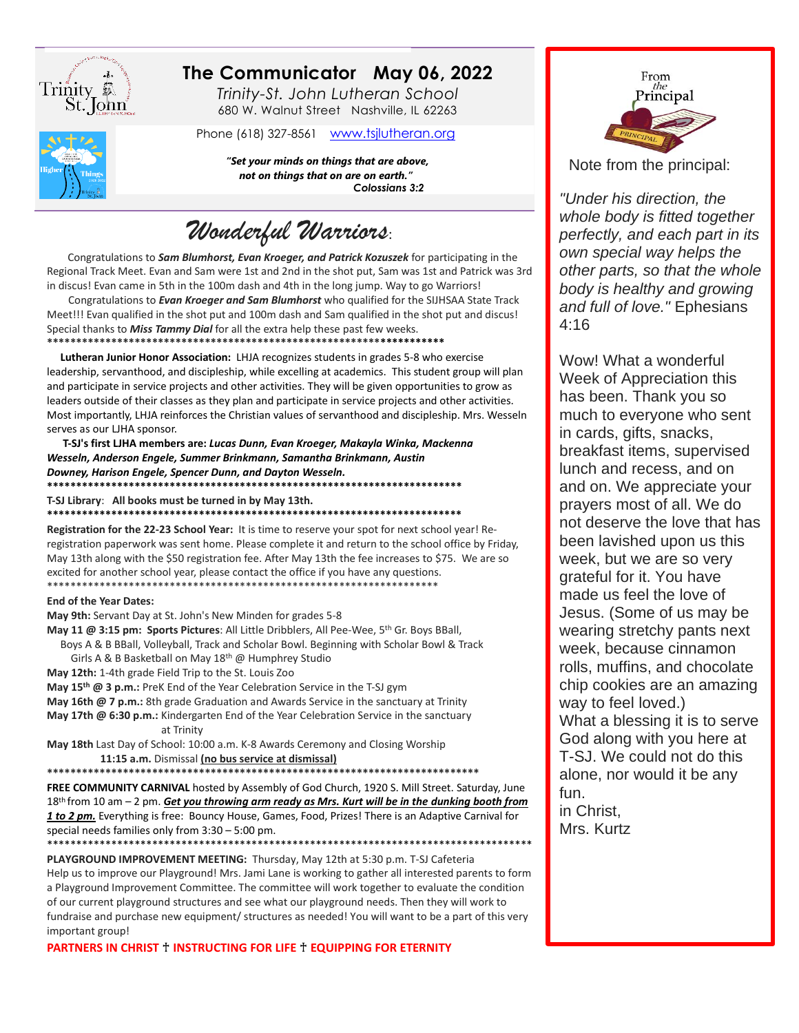

## The Communicator May 06, 2022

Trinity-St. John Lutheran School 680 W. Walnut Street Nashville, IL 62263

Phone (618) 327-8561 www.tsjlutheran.org

"Set your minds on things that are above, not on things that on are on earth." Colossians 3:2

Wonderful Warriors:

Congratulations to Sam Blumhorst, Evan Kroeger, and Patrick Kozuszek for participating in the Regional Track Meet. Evan and Sam were 1st and 2nd in the shot put, Sam was 1st and Patrick was 3rd in discus! Evan came in 5th in the 100m dash and 4th in the long jump. Way to go Warriors!

Congratulations to Evan Kroeger and Sam Blumhorst who qualified for the SIJHSAA State Track Meet!!! Evan qualified in the shot put and 100m dash and Sam qualified in the shot put and discus! Special thanks to Miss Tammy Dial for all the extra help these past few weeks.

Lutheran Junior Honor Association: LHJA recognizes students in grades 5-8 who exercise leadership, servanthood, and discipleship, while excelling at academics. This student group will plan and participate in service projects and other activities. They will be given opportunities to grow as leaders outside of their classes as they plan and participate in service projects and other activities. Most importantly, LHJA reinforces the Christian values of servanthood and discipleship. Mrs. Wesseln serves as our LJHA sponsor.

T-SJ's first LJHA members are: Lucas Dunn, Evan Kroeger, Makayla Winka, Mackenna Wesseln, Anderson Engele, Summer Brinkmann, Samantha Brinkmann, Austin Downey, Harison Engele, Spencer Dunn, and Dayton Wesseln. \*\*\*\*\*\*\*\*\*\*\*\*\*\*

T-SJ Library: All books must be turned in by May 13th.

Registration for the 22-23 School Year: It is time to reserve your spot for next school year! Reregistration paperwork was sent home. Please complete it and return to the school office by Friday, May 13th along with the \$50 registration fee. After May 13th the fee increases to \$75. We are so excited for another school year, please contact the office if you have any questions.

## **End of the Year Dates:**

May 9th: Servant Day at St. John's New Minden for grades 5-8

May 11 @ 3:15 pm: Sports Pictures: All Little Dribblers, All Pee-Wee, 5th Gr. Boys BBall, Boys A & B BBall, Volleyball, Track and Scholar Bowl. Beginning with Scholar Bowl & Track

Girls A & B Basketball on May 18<sup>th</sup> @ Humphrey Studio

May 12th: 1-4th grade Field Trip to the St. Louis Zoo

May 15<sup>th</sup> @ 3 p.m.: PreK End of the Year Celebration Service in the T-SJ gym

- May 16th @ 7 p.m.: 8th grade Graduation and Awards Service in the sanctuary at Trinity
- May 17th @ 6:30 p.m.: Kindergarten End of the Year Celebration Service in the sanctuary at Trinity

May 18th Last Day of School: 10:00 a.m. K-8 Awards Ceremony and Closing Worship 11:15 a.m. Dismissal (no bus service at dismissal)

\*\*\*\*\*\*\*\*\*\*\*\*\*\*\*\*\*\*\*\*\*\*\*\*\*\*\*\*\*\*\*\*\*

FREE COMMUNITY CARNIVAL hosted by Assembly of God Church, 1920 S. Mill Street. Saturday, June 18th from 10 am - 2 pm. Get you throwing arm ready as Mrs. Kurt will be in the dunking booth from 1 to 2 pm. Everything is free: Bouncy House, Games, Food, Prizes! There is an Adaptive Carnival for special needs families only from  $3:30 - 5:00$  pm.

PLAYGROUND IMPROVEMENT MEETING: Thursday, May 12th at 5:30 p.m. T-SJ Cafeteria Help us to improve our Playground! Mrs. Jami Lane is working to gather all interested parents to form a Playground Improvement Committee. The committee will work together to evaluate the condition of our current playground structures and see what our playground needs. Then they will work to fundraise and purchase new equipment/ structures as needed! You will want to be a part of this very important group!

PARTNERS IN CHRIST + INSTRUCTING FOR LIFE + EQUIPPING FOR ETERNITY



Note from the principal:

"Under his direction, the whole body is fitted together perfectly, and each part in its own special way helps the other parts, so that the whole body is healthy and growing and full of love." Ephesians  $4:16$ 

Wow! What a wonderful Week of Appreciation this has been. Thank you so much to everyone who sent in cards, gifts, snacks, breakfast items, supervised lunch and recess, and on and on. We appreciate your prayers most of all. We do not deserve the love that has been lavished upon us this week, but we are so very grateful for it. You have made us feel the love of Jesus. (Some of us may be wearing stretchy pants next week, because cinnamon rolls, muffins, and chocolate chip cookies are an amazing way to feel loved.) What a blessing it is to serve God along with you here at T-SJ. We could not do this alone, nor would it be any fun. in Christ. Mrs. Kurtz